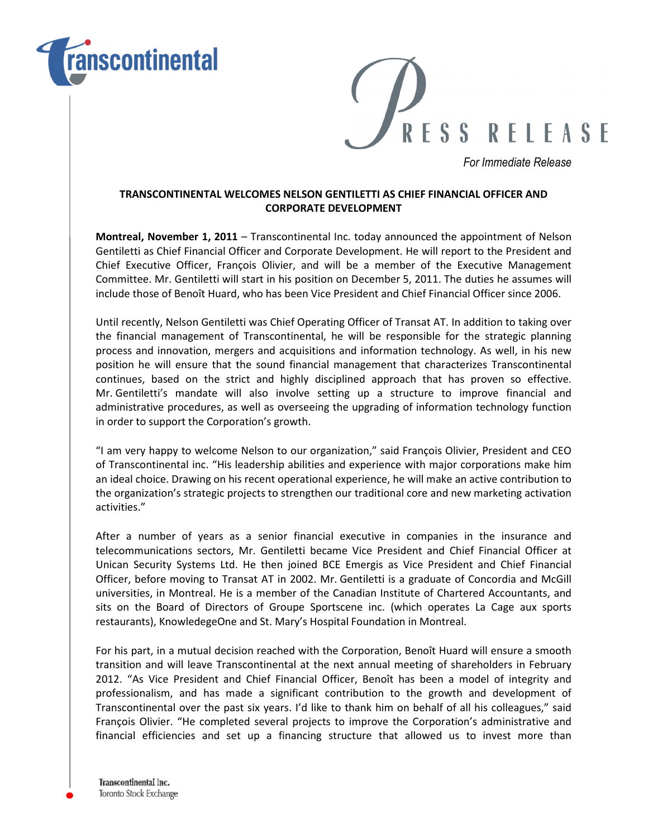



For Immediate Release

## TRANSCONTINENTAL WELCOMES NELSON GENTILETTI AS CHIEF FINANCIAL OFFICER AND CORPORATE DEVELOPMENT

Montreal, November 1, 2011 – Transcontinental Inc. today announced the appointment of Nelson Gentiletti as Chief Financial Officer and Corporate Development. He will report to the President and Chief Executive Officer, François Olivier, and will be a member of the Executive Management Committee. Mr. Gentiletti will start in his position on December 5, 2011. The duties he assumes will include those of Benoît Huard, who has been Vice President and Chief Financial Officer since 2006.

Until recently, Nelson Gentiletti was Chief Operating Officer of Transat AT. In addition to taking over the financial management of Transcontinental, he will be responsible for the strategic planning process and innovation, mergers and acquisitions and information technology. As well, in his new position he will ensure that the sound financial management that characterizes Transcontinental continues, based on the strict and highly disciplined approach that has proven so effective. Mr. Gentiletti's mandate will also involve setting up a structure to improve financial and administrative procedures, as well as overseeing the upgrading of information technology function in order to support the Corporation's growth.

"I am very happy to welcome Nelson to our organization," said François Olivier, President and CEO of Transcontinental inc. "His leadership abilities and experience with major corporations make him an ideal choice. Drawing on his recent operational experience, he will make an active contribution to the organization's strategic projects to strengthen our traditional core and new marketing activation activities."

After a number of years as a senior financial executive in companies in the insurance and telecommunications sectors, Mr. Gentiletti became Vice President and Chief Financial Officer at Unican Security Systems Ltd. He then joined BCE Emergis as Vice President and Chief Financial Officer, before moving to Transat AT in 2002. Mr. Gentiletti is a graduate of Concordia and McGill universities, in Montreal. He is a member of the Canadian Institute of Chartered Accountants, and sits on the Board of Directors of Groupe Sportscene inc. (which operates La Cage aux sports restaurants), KnowledegeOne and St. Mary's Hospital Foundation in Montreal.

For his part, in a mutual decision reached with the Corporation, Benoît Huard will ensure a smooth transition and will leave Transcontinental at the next annual meeting of shareholders in February 2012. "As Vice President and Chief Financial Officer, Benoît has been a model of integrity and professionalism, and has made a significant contribution to the growth and development of Transcontinental over the past six years. I'd like to thank him on behalf of all his colleagues," said François Olivier. "He completed several projects to improve the Corporation's administrative and financial efficiencies and set up a financing structure that allowed us to invest more than